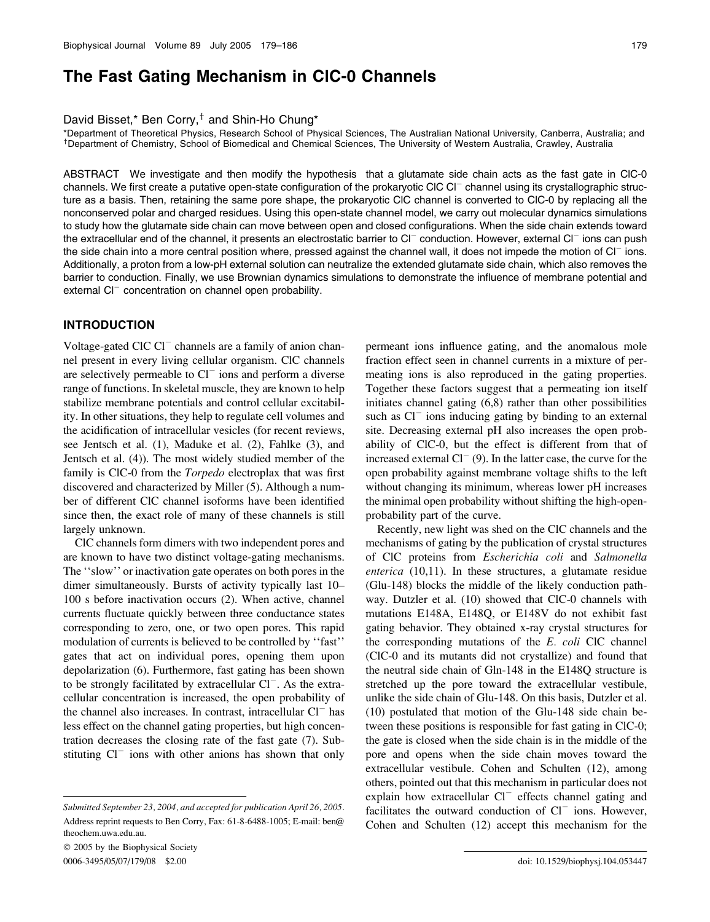# The Fast Gating Mechanism in ClC-0 Channels

David Bisset,\* Ben Corry, $^{\dagger}$  and Shin-Ho Chung\*

\*Department of Theoretical Physics, Research School of Physical Sciences, The Australian National University, Canberra, Australia; and <sup>y</sup> <sup>†</sup>Department of Chemistry, School of Biomedical and Chemical Sciences, The University of Western Australia, Crawley, Australia

ABSTRACT We investigate and then modify the hypothesis that a glutamate side chain acts as the fast gate in ClC-0 channels. We first create a putative open-state configuration of the prokaryotic CIC CI<sup>-</sup> channel using its crystallographic structure as a basis. Then, retaining the same pore shape, the prokaryotic ClC channel is converted to ClC-0 by replacing all the nonconserved polar and charged residues. Using this open-state channel model, we carry out molecular dynamics simulations to study how the glutamate side chain can move between open and closed configurations. When the side chain extends toward the extracellular end of the channel, it presents an electrostatic barrier to Cl<sup>-</sup> conduction. However, external Cl<sup>-</sup> ions can push the side chain into a more central position where, pressed against the channel wall, it does not impede the motion of  $Cl^-$  ions. Additionally, a proton from a low-pH external solution can neutralize the extended glutamate side chain, which also removes the barrier to conduction. Finally, we use Brownian dynamics simulations to demonstrate the influence of membrane potential and external  $Cl^-$  concentration on channel open probability.

# INTRODUCTION

Voltage-gated ClC  $Cl<sup>-</sup>$  channels are a family of anion channel present in every living cellular organism. ClC channels are selectively permeable to  $Cl^-$  ions and perform a diverse range of functions. In skeletal muscle, they are known to help stabilize membrane potentials and control cellular excitability. In other situations, they help to regulate cell volumes and the acidification of intracellular vesicles (for recent reviews, see Jentsch et al. (1), Maduke et al. (2), Fahlke (3), and Jentsch et al. (4)). The most widely studied member of the family is ClC-0 from the Torpedo electroplax that was first discovered and characterized by Miller (5). Although a number of different ClC channel isoforms have been identified since then, the exact role of many of these channels is still largely unknown.

ClC channels form dimers with two independent pores and are known to have two distinct voltage-gating mechanisms. The ''slow'' or inactivation gate operates on both pores in the dimer simultaneously. Bursts of activity typically last 10– 100 s before inactivation occurs (2). When active, channel currents fluctuate quickly between three conductance states corresponding to zero, one, or two open pores. This rapid modulation of currents is believed to be controlled by ''fast'' gates that act on individual pores, opening them upon depolarization (6). Furthermore, fast gating has been shown to be strongly facilitated by extracellular  $Cl^-$ . As the extracellular concentration is increased, the open probability of the channel also increases. In contrast, intracellular  $Cl^-$  has less effect on the channel gating properties, but high concentration decreases the closing rate of the fast gate (7). Substituting  $Cl^-$  ions with other anions has shown that only

 2005 by the Biophysical Society 0006-3495/05/07/179/08 \$2.00 doi: 10.1529/biophysj.104.053447

permeant ions influence gating, and the anomalous mole fraction effect seen in channel currents in a mixture of permeating ions is also reproduced in the gating properties. Together these factors suggest that a permeating ion itself initiates channel gating (6,8) rather than other possibilities such as  $Cl^-$  ions inducing gating by binding to an external site. Decreasing external pH also increases the open probability of ClC-0, but the effect is different from that of increased external  $Cl^{-}(9)$ . In the latter case, the curve for the open probability against membrane voltage shifts to the left without changing its minimum, whereas lower pH increases the minimal open probability without shifting the high-openprobability part of the curve.

Recently, new light was shed on the ClC channels and the mechanisms of gating by the publication of crystal structures of ClC proteins from Escherichia coli and Salmonella enterica (10,11). In these structures, a glutamate residue (Glu-148) blocks the middle of the likely conduction pathway. Dutzler et al. (10) showed that ClC-0 channels with mutations E148A, E148Q, or E148V do not exhibit fast gating behavior. They obtained x-ray crystal structures for the corresponding mutations of the E. coli ClC channel (ClC-0 and its mutants did not crystallize) and found that the neutral side chain of Gln-148 in the E148Q structure is stretched up the pore toward the extracellular vestibule, unlike the side chain of Glu-148. On this basis, Dutzler et al. (10) postulated that motion of the Glu-148 side chain between these positions is responsible for fast gating in ClC-0; the gate is closed when the side chain is in the middle of the pore and opens when the side chain moves toward the extracellular vestibule. Cohen and Schulten (12), among others, pointed out that this mechanism in particular does not explain how extracellular  $Cl^-$  effects channel gating and facilitates the outward conduction of  $Cl^-$  ions. However, Cohen and Schulten (12) accept this mechanism for the

Submitted September 23, 2004, and accepted for publication April 26, 2005. Address reprint requests to Ben Corry, Fax: 61-8-6488-1005; E-mail: ben@ theochem.uwa.edu.au.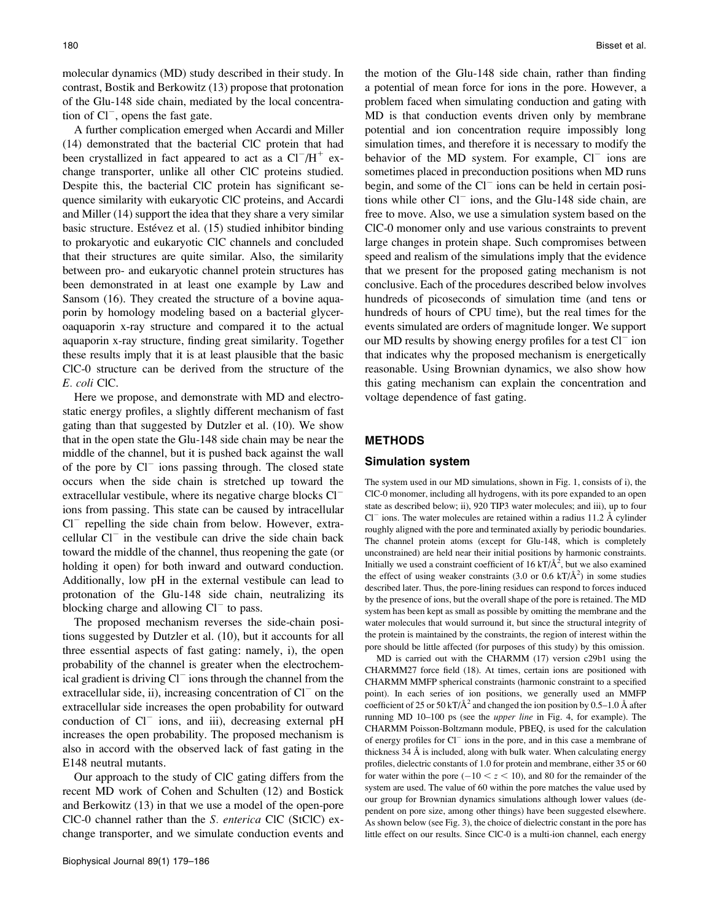molecular dynamics (MD) study described in their study. In contrast, Bostik and Berkowitz (13) propose that protonation of the Glu-148 side chain, mediated by the local concentration of  $Cl^-$ , opens the fast gate.

A further complication emerged when Accardi and Miller (14) demonstrated that the bacterial ClC protein that had been crystallized in fact appeared to act as a  $Cl^-/H^+$  exchange transporter, unlike all other ClC proteins studied. Despite this, the bacterial ClC protein has significant sequence similarity with eukaryotic ClC proteins, and Accardi and Miller (14) support the idea that they share a very similar basic structure. Estévez et al. (15) studied inhibitor binding to prokaryotic and eukaryotic ClC channels and concluded that their structures are quite similar. Also, the similarity between pro- and eukaryotic channel protein structures has been demonstrated in at least one example by Law and Sansom (16). They created the structure of a bovine aquaporin by homology modeling based on a bacterial glyceroaquaporin x-ray structure and compared it to the actual aquaporin x-ray structure, finding great similarity. Together these results imply that it is at least plausible that the basic ClC-0 structure can be derived from the structure of the E. coli ClC.

Here we propose, and demonstrate with MD and electrostatic energy profiles, a slightly different mechanism of fast gating than that suggested by Dutzler et al. (10). We show that in the open state the Glu-148 side chain may be near the middle of the channel, but it is pushed back against the wall of the pore by  $Cl^-$  ions passing through. The closed state occurs when the side chain is stretched up toward the extracellular vestibule, where its negative charge blocks Cl<sup>-</sup> ions from passing. This state can be caused by intracellular  $Cl^-$  repelling the side chain from below. However, extracellular  $Cl^-$  in the vestibule can drive the side chain back toward the middle of the channel, thus reopening the gate (or holding it open) for both inward and outward conduction. Additionally, low pH in the external vestibule can lead to protonation of the Glu-148 side chain, neutralizing its blocking charge and allowing  $Cl^-$  to pass.

The proposed mechanism reverses the side-chain positions suggested by Dutzler et al. (10), but it accounts for all three essential aspects of fast gating: namely, i), the open probability of the channel is greater when the electrochemical gradient is driving  $Cl^-$  ions through the channel from the extracellular side, ii), increasing concentration of  $Cl<sup>-</sup>$  on the extracellular side increases the open probability for outward conduction of  $Cl^-$  ions, and iii), decreasing external pH increases the open probability. The proposed mechanism is also in accord with the observed lack of fast gating in the E148 neutral mutants.

Our approach to the study of ClC gating differs from the recent MD work of Cohen and Schulten (12) and Bostick and Berkowitz (13) in that we use a model of the open-pore ClC-0 channel rather than the S. enterica ClC (StClC) exchange transporter, and we simulate conduction events and the motion of the Glu-148 side chain, rather than finding a potential of mean force for ions in the pore. However, a problem faced when simulating conduction and gating with MD is that conduction events driven only by membrane potential and ion concentration require impossibly long simulation times, and therefore it is necessary to modify the behavior of the MD system. For example,  $Cl^-$  ions are sometimes placed in preconduction positions when MD runs begin, and some of the  $Cl^-$  ions can be held in certain positions while other  $CI^-$  ions, and the Glu-148 side chain, are free to move. Also, we use a simulation system based on the ClC-0 monomer only and use various constraints to prevent large changes in protein shape. Such compromises between speed and realism of the simulations imply that the evidence that we present for the proposed gating mechanism is not conclusive. Each of the procedures described below involves hundreds of picoseconds of simulation time (and tens or hundreds of hours of CPU time), but the real times for the events simulated are orders of magnitude longer. We support our MD results by showing energy profiles for a test  $Cl^-$  ion that indicates why the proposed mechanism is energetically reasonable. Using Brownian dynamics, we also show how this gating mechanism can explain the concentration and voltage dependence of fast gating.

## METHODS

# Simulation system

The system used in our MD simulations, shown in Fig. 1, consists of i), the ClC-0 monomer, including all hydrogens, with its pore expanded to an open state as described below; ii), 920 TIP3 water molecules; and iii), up to four  $Cl^-$  ions. The water molecules are retained within a radius 11.2 Å cylinder roughly aligned with the pore and terminated axially by periodic boundaries. The channel protein atoms (except for Glu-148, which is completely unconstrained) are held near their initial positions by harmonic constraints. Initially we used a constraint coefficient of 16 kT/ $\AA$ <sup>2</sup>, but we also examined the effect of using weaker constraints (3.0 or 0.6 kT/ $\AA$ <sup>2</sup>) in some studies described later. Thus, the pore-lining residues can respond to forces induced by the presence of ions, but the overall shape of the pore is retained. The MD system has been kept as small as possible by omitting the membrane and the water molecules that would surround it, but since the structural integrity of the protein is maintained by the constraints, the region of interest within the pore should be little affected (for purposes of this study) by this omission.

MD is carried out with the CHARMM (17) version c29b1 using the CHARMM27 force field (18). At times, certain ions are positioned with CHARMM MMFP spherical constraints (harmonic constraint to a specified point). In each series of ion positions, we generally used an MMFP coefficient of 25 or 50 kT/ $\AA$ <sup>2</sup> and changed the ion position by 0.5–1.0  $\AA$  after running MD 10–100 ps (see the upper line in Fig. 4, for example). The CHARMM Poisson-Boltzmann module, PBEQ, is used for the calculation of energy profiles for  $Cl^-$  ions in the pore, and in this case a membrane of thickness  $34 \text{ Å}$  is included, along with bulk water. When calculating energy profiles, dielectric constants of 1.0 for protein and membrane, either 35 or 60 for water within the pore  $(-10 < z < 10)$ , and 80 for the remainder of the system are used. The value of 60 within the pore matches the value used by our group for Brownian dynamics simulations although lower values (dependent on pore size, among other things) have been suggested elsewhere. As shown below (see Fig. 3), the choice of dielectric constant in the pore has little effect on our results. Since ClC-0 is a multi-ion channel, each energy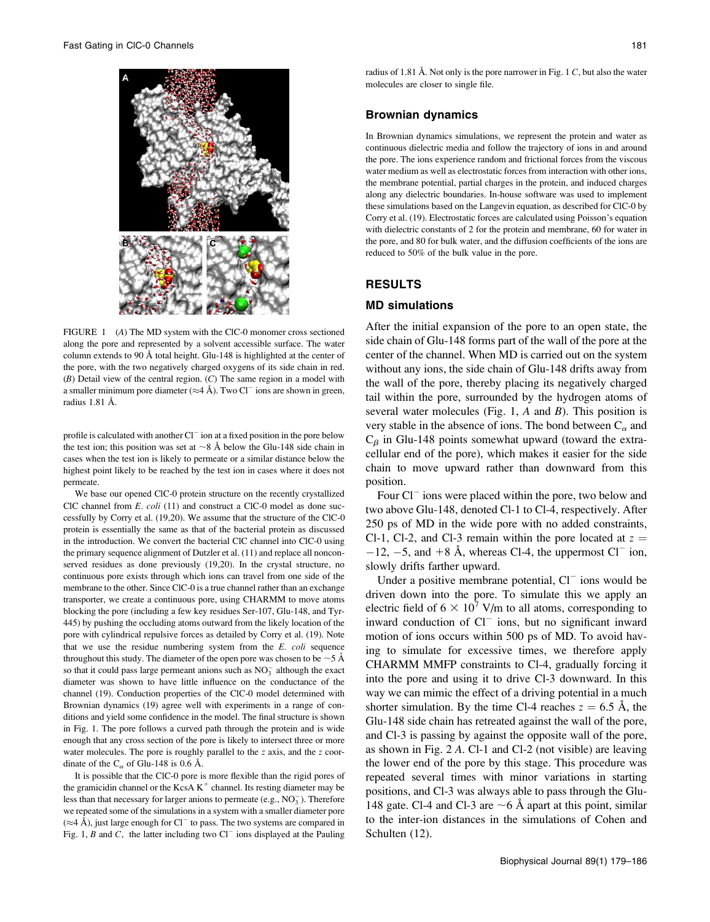

FIGURE 1 (A) The MD system with the ClC-0 monomer cross sectioned along the pore and represented by a solvent accessible surface. The water column extends to 90 A˚ total height. Glu-148 is highlighted at the center of the pore, with the two negatively charged oxygens of its side chain in red.  $(B)$  Detail view of the central region.  $(C)$  The same region in a model with a smaller minimum pore diameter ( $\approx$ 4 Å). Two Cl<sup>-</sup> ions are shown in green, radius 1.81 Å.

profile is calculated with another  $Cl^-$  ion at a fixed position in the pore below the test ion; this position was set at  $\sim$ 8 Å below the Glu-148 side chain in cases when the test ion is likely to permeate or a similar distance below the highest point likely to be reached by the test ion in cases where it does not permeate.

We base our opened ClC-0 protein structure on the recently crystallized ClC channel from E. coli (11) and construct a ClC-0 model as done successfully by Corry et al. (19,20). We assume that the structure of the ClC-0 protein is essentially the same as that of the bacterial protein as discussed in the introduction. We convert the bacterial ClC channel into ClC-0 using the primary sequence alignment of Dutzler et al. (11) and replace all nonconserved residues as done previously (19,20). In the crystal structure, no continuous pore exists through which ions can travel from one side of the membrane to the other. Since ClC-0 is a true channel rather than an exchange transporter, we create a continuous pore, using CHARMM to move atoms blocking the pore (including a few key residues Ser-107, Glu-148, and Tyr-445) by pushing the occluding atoms outward from the likely location of the pore with cylindrical repulsive forces as detailed by Corry et al. (19). Note that we use the residue numbering system from the E. coli sequence throughout this study. The diameter of the open pore was chosen to be  $\sim$  5 Å so that it could pass large permeant anions such as  $NO<sub>3</sub><sup>-</sup>$  although the exact diameter was shown to have little influence on the conductance of the channel (19). Conduction properties of the ClC-0 model determined with Brownian dynamics (19) agree well with experiments in a range of conditions and yield some confidence in the model. The final structure is shown in Fig. 1. The pore follows a curved path through the protein and is wide enough that any cross section of the pore is likely to intersect three or more water molecules. The pore is roughly parallel to the z axis, and the z coordinate of the  $C_{\alpha}$  of Glu-148 is 0.6 Å.

It is possible that the ClC-0 pore is more flexible than the rigid pores of the gramicidin channel or the KcsA  $K^+$  channel. Its resting diameter may be less than that necessary for larger anions to permeate (e.g., NO<sub>3</sub>). Therefore we repeated some of the simulations in a system with a smaller diameter pore  $(\approx 4 \text{ Å})$ , just large enough for Cl<sup>-</sup> to pass. The two systems are compared in Fig. 1, B and C, the latter including two  $Cl^-$  ions displayed at the Pauling radius of 1.81 Å. Not only is the pore narrower in Fig. 1  $C$ , but also the water molecules are closer to single file.

#### Brownian dynamics

In Brownian dynamics simulations, we represent the protein and water as continuous dielectric media and follow the trajectory of ions in and around the pore. The ions experience random and frictional forces from the viscous water medium as well as electrostatic forces from interaction with other ions, the membrane potential, partial charges in the protein, and induced charges along any dielectric boundaries. In-house software was used to implement these simulations based on the Langevin equation, as described for ClC-0 by Corry et al. (19). Electrostatic forces are calculated using Poisson's equation with dielectric constants of 2 for the protein and membrane, 60 for water in the pore, and 80 for bulk water, and the diffusion coefficients of the ions are reduced to 50% of the bulk value in the pore.

## RESULTS

## MD simulations

After the initial expansion of the pore to an open state, the side chain of Glu-148 forms part of the wall of the pore at the center of the channel. When MD is carried out on the system without any ions, the side chain of Glu-148 drifts away from the wall of the pore, thereby placing its negatively charged tail within the pore, surrounded by the hydrogen atoms of several water molecules (Fig. 1,  $A$  and  $B$ ). This position is very stable in the absence of ions. The bond between  $C_{\alpha}$  and  $C_\beta$  in Glu-148 points somewhat upward (toward the extracellular end of the pore), which makes it easier for the side chain to move upward rather than downward from this position.

Four  $Cl^-$  ions were placed within the pore, two below and two above Glu-148, denoted Cl-1 to Cl-4, respectively. After 250 ps of MD in the wide pore with no added constraints, Cl-1, Cl-2, and Cl-3 remain within the pore located at  $z =$  $-12$ ,  $-5$ , and  $+8$  Å, whereas Cl-4, the uppermost Cl<sup>-</sup> ion, slowly drifts farther upward.

Under a positive membrane potential,  $Cl^-$  ions would be driven down into the pore. To simulate this we apply an electric field of  $6 \times 10^7$  V/m to all atoms, corresponding to inward conduction of  $Cl^-$  ions, but no significant inward motion of ions occurs within 500 ps of MD. To avoid having to simulate for excessive times, we therefore apply CHARMM MMFP constraints to Cl-4, gradually forcing it into the pore and using it to drive Cl-3 downward. In this way we can mimic the effect of a driving potential in a much shorter simulation. By the time Cl-4 reaches  $z = 6.5$  Å, the Glu-148 side chain has retreated against the wall of the pore, and Cl-3 is passing by against the opposite wall of the pore, as shown in Fig. 2 A. Cl-1 and Cl-2 (not visible) are leaving the lower end of the pore by this stage. This procedure was repeated several times with minor variations in starting positions, and Cl-3 was always able to pass through the Glu-148 gate. Cl-4 and Cl-3 are  $\sim$  6 Å apart at this point, similar to the inter-ion distances in the simulations of Cohen and Schulten (12).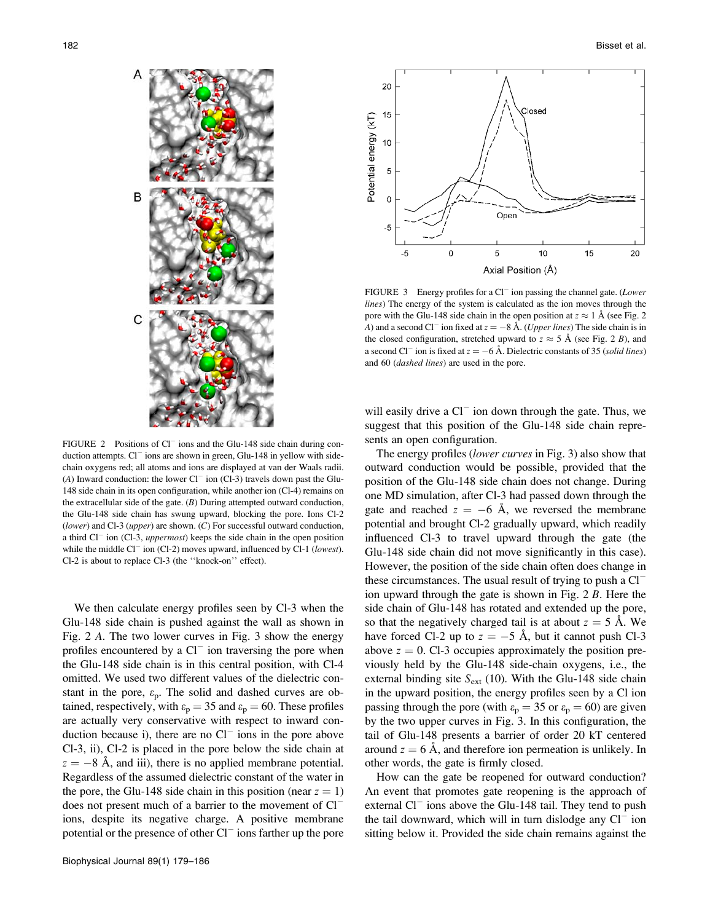

FIGURE 2 Positions of  $Cl^-$  ions and the Glu-148 side chain during conduction attempts.  $Cl^-$  ions are shown in green, Glu-148 in yellow with sidechain oxygens red; all atoms and ions are displayed at van der Waals radii. (A) Inward conduction: the lower  $Cl^-$  ion (Cl-3) travels down past the Glu-148 side chain in its open configuration, while another ion (Cl-4) remains on the extracellular side of the gate.  $(B)$  During attempted outward conduction, the Glu-148 side chain has swung upward, blocking the pore. Ions Cl-2 (lower) and Cl-3 (upper) are shown.  $(C)$  For successful outward conduction, a third  $Cl^-$  ion (Cl-3, uppermost) keeps the side chain in the open position while the middle Cl<sup>-</sup> ion (Cl-2) moves upward, influenced by Cl-1 (lowest). Cl-2 is about to replace Cl-3 (the ''knock-on'' effect).

We then calculate energy profiles seen by Cl-3 when the Glu-148 side chain is pushed against the wall as shown in Fig. 2 A. The two lower curves in Fig. 3 show the energy profiles encountered by a  $Cl^-$  ion traversing the pore when the Glu-148 side chain is in this central position, with Cl-4 omitted. We used two different values of the dielectric constant in the pore,  $\varepsilon_p$ . The solid and dashed curves are obtained, respectively, with  $\varepsilon_p = 35$  and  $\varepsilon_p = 60$ . These profiles are actually very conservative with respect to inward conduction because i), there are no  $Cl^-$  ions in the pore above Cl-3, ii), Cl-2 is placed in the pore below the side chain at  $z = -8$  Å, and iii), there is no applied membrane potential. Regardless of the assumed dielectric constant of the water in the pore, the Glu-148 side chain in this position (near  $z = 1$ ) does not present much of a barrier to the movement of  $Cl^$ ions, despite its negative charge. A positive membrane potential or the presence of other  $Cl^-$  ions farther up the pore



FIGURE 3 Energy profiles for a  $Cl^-$  ion passing the channel gate. (Lower lines) The energy of the system is calculated as the ion moves through the pore with the Glu-148 side chain in the open position at  $z \approx 1$  Å (see Fig. 2 A) and a second Cl<sup>-</sup> ion fixed at  $z = -8$  Å. (Upper lines) The side chain is in the closed configuration, stretched upward to  $z \approx 5$  Å (see Fig. 2 B), and a second Cl<sup>-</sup> ion is fixed at  $z = -6$  Å. Dielectric constants of 35 (solid lines) and 60 (dashed lines) are used in the pore.

will easily drive a  $Cl^-$  ion down through the gate. Thus, we suggest that this position of the Glu-148 side chain represents an open configuration.

The energy profiles (lower curves in Fig. 3) also show that outward conduction would be possible, provided that the position of the Glu-148 side chain does not change. During one MD simulation, after Cl-3 had passed down through the gate and reached  $z = -6$  Å, we reversed the membrane potential and brought Cl-2 gradually upward, which readily influenced Cl-3 to travel upward through the gate (the Glu-148 side chain did not move significantly in this case). However, the position of the side chain often does change in these circumstances. The usual result of trying to push a  $Cl^$ ion upward through the gate is shown in Fig. 2 B. Here the side chain of Glu-148 has rotated and extended up the pore, so that the negatively charged tail is at about  $z = 5$  Å. We have forced Cl-2 up to  $z = -5$  Å, but it cannot push Cl-3 above  $z = 0$ . Cl-3 occupies approximately the position previously held by the Glu-148 side-chain oxygens, i.e., the external binding site  $S_{ext}$  (10). With the Glu-148 side chain in the upward position, the energy profiles seen by a Cl ion passing through the pore (with  $\varepsilon_p = 35$  or  $\varepsilon_p = 60$ ) are given by the two upper curves in Fig. 3. In this configuration, the tail of Glu-148 presents a barrier of order 20 kT centered around  $z = 6$  Å, and therefore ion permeation is unlikely. In other words, the gate is firmly closed.

How can the gate be reopened for outward conduction? An event that promotes gate reopening is the approach of external  $Cl^-$  ions above the Glu-148 tail. They tend to push the tail downward, which will in turn dislodge any  $Cl^-$  ion sitting below it. Provided the side chain remains against the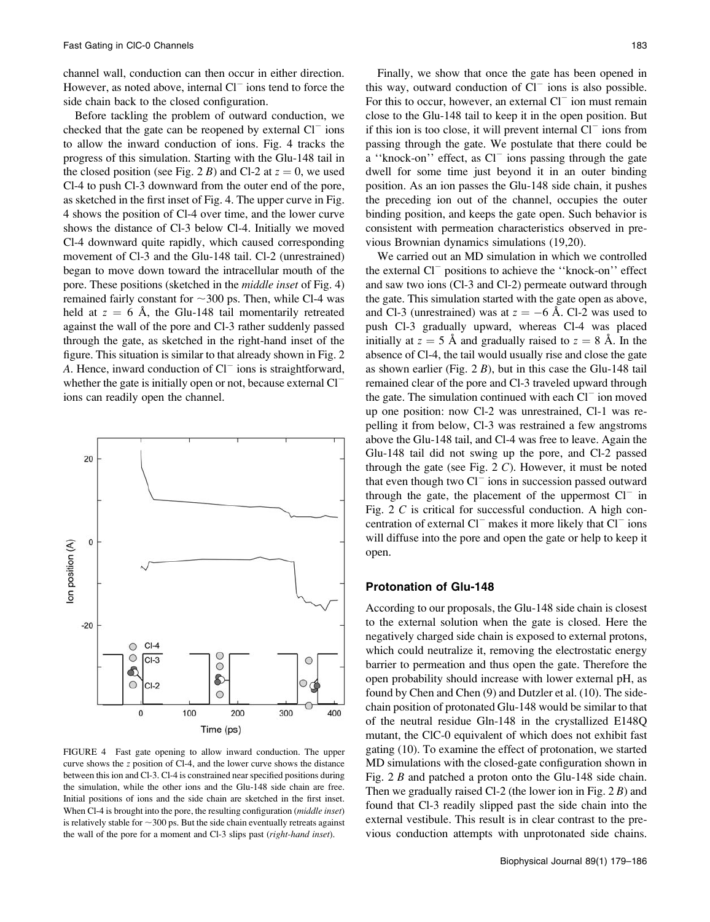20

channel wall, conduction can then occur in either direction. However, as noted above, internal  $Cl^-$  ions tend to force the side chain back to the closed configuration.

Before tackling the problem of outward conduction, we checked that the gate can be reopened by external  $Cl^-$  ions to allow the inward conduction of ions. Fig. 4 tracks the progress of this simulation. Starting with the Glu-148 tail in the closed position (see Fig. 2 B) and Cl-2 at  $z = 0$ , we used Cl-4 to push Cl-3 downward from the outer end of the pore, as sketched in the first inset of Fig. 4. The upper curve in Fig. 4 shows the position of Cl-4 over time, and the lower curve shows the distance of Cl-3 below Cl-4. Initially we moved Cl-4 downward quite rapidly, which caused corresponding movement of Cl-3 and the Glu-148 tail. Cl-2 (unrestrained) began to move down toward the intracellular mouth of the pore. These positions (sketched in the middle inset of Fig. 4) remained fairly constant for  $\sim$  300 ps. Then, while Cl-4 was held at  $z = 6$  Å, the Glu-148 tail momentarily retreated against the wall of the pore and Cl-3 rather suddenly passed through the gate, as sketched in the right-hand inset of the figure. This situation is similar to that already shown in Fig. 2 A. Hence, inward conduction of  $Cl^-$  ions is straightforward, whether the gate is initially open or not, because external  $Cl^$ ions can readily open the channel.

 $\pmb{0}$ lon position (A)  $-20$  $CI-4$  $\circ$  $\circ$  $\circ$  $CL-3$ O  $\circ$ ි  $\bullet$ ∋  $\circ$  $CI-2$ C  $\mathbf 0$ 100 200 300 400 Time (ps)

FIGURE 4 Fast gate opening to allow inward conduction. The upper curve shows the z position of Cl-4, and the lower curve shows the distance between this ion and Cl-3. Cl-4 is constrained near specified positions during the simulation, while the other ions and the Glu-148 side chain are free. Initial positions of ions and the side chain are sketched in the first inset. When Cl-4 is brought into the pore, the resulting configuration (*middle inset*) is relatively stable for  $\sim$ 300 ps. But the side chain eventually retreats against the wall of the pore for a moment and Cl-3 slips past (right-hand inset).

Finally, we show that once the gate has been opened in this way, outward conduction of  $Cl^-$  ions is also possible. For this to occur, however, an external  $Cl^-$  ion must remain close to the Glu-148 tail to keep it in the open position. But if this ion is too close, it will prevent internal  $Cl^-$  ions from passing through the gate. We postulate that there could be a "knock-on" effect, as  $Cl^-$  ions passing through the gate dwell for some time just beyond it in an outer binding position. As an ion passes the Glu-148 side chain, it pushes the preceding ion out of the channel, occupies the outer binding position, and keeps the gate open. Such behavior is consistent with permeation characteristics observed in previous Brownian dynamics simulations (19,20).

We carried out an MD simulation in which we controlled the external Cl<sup>-</sup> positions to achieve the "knock-on" effect and saw two ions (Cl-3 and Cl-2) permeate outward through the gate. This simulation started with the gate open as above, and Cl-3 (unrestrained) was at  $z = -6$  Å. Cl-2 was used to push Cl-3 gradually upward, whereas Cl-4 was placed initially at  $z = 5$  Å and gradually raised to  $z = 8$  Å. In the absence of Cl-4, the tail would usually rise and close the gate as shown earlier (Fig.  $2 B$ ), but in this case the Glu-148 tail remained clear of the pore and Cl-3 traveled upward through the gate. The simulation continued with each  $Cl<sup>-</sup>$  ion moved up one position: now Cl-2 was unrestrained, Cl-1 was repelling it from below, Cl-3 was restrained a few angstroms above the Glu-148 tail, and Cl-4 was free to leave. Again the Glu-148 tail did not swing up the pore, and Cl-2 passed through the gate (see Fig.  $2 C$ ). However, it must be noted that even though two  $Cl^-$  ions in succession passed outward through the gate, the placement of the uppermost  $Cl^-$  in Fig. 2 C is critical for successful conduction. A high concentration of external  $Cl^-$  makes it more likely that  $Cl^-$  ions will diffuse into the pore and open the gate or help to keep it open.

#### Protonation of Glu-148

According to our proposals, the Glu-148 side chain is closest to the external solution when the gate is closed. Here the negatively charged side chain is exposed to external protons, which could neutralize it, removing the electrostatic energy barrier to permeation and thus open the gate. Therefore the open probability should increase with lower external pH, as found by Chen and Chen (9) and Dutzler et al. (10). The sidechain position of protonated Glu-148 would be similar to that of the neutral residue Gln-148 in the crystallized E148Q mutant, the ClC-0 equivalent of which does not exhibit fast gating (10). To examine the effect of protonation, we started MD simulations with the closed-gate configuration shown in Fig. 2 B and patched a proton onto the Glu-148 side chain. Then we gradually raised Cl-2 (the lower ion in Fig.  $2 B$ ) and found that Cl-3 readily slipped past the side chain into the external vestibule. This result is in clear contrast to the previous conduction attempts with unprotonated side chains.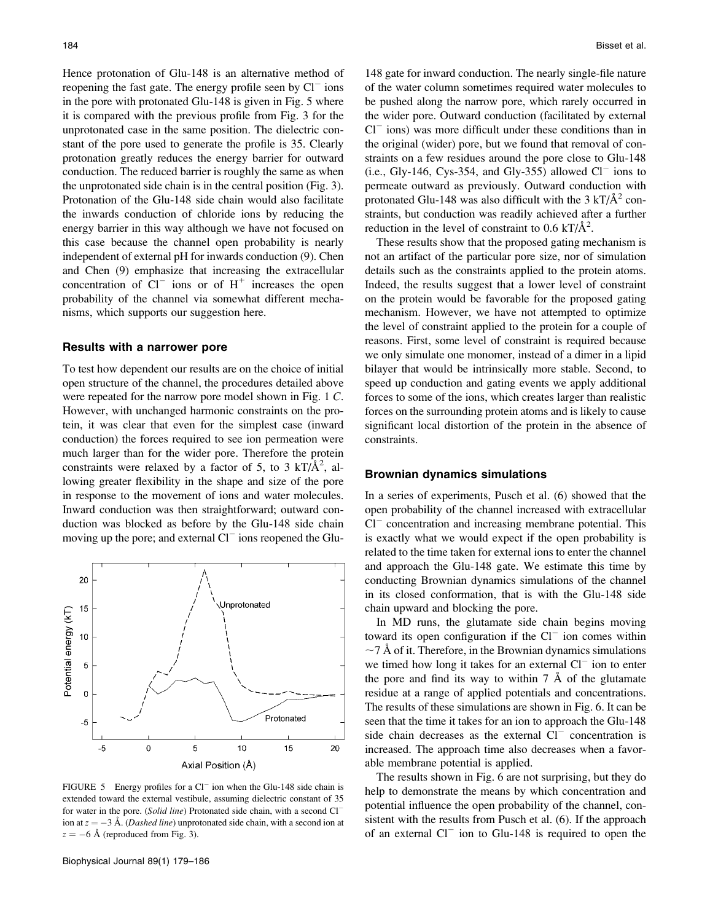Hence protonation of Glu-148 is an alternative method of reopening the fast gate. The energy profile seen by  $Cl^-$  ions in the pore with protonated Glu-148 is given in Fig. 5 where it is compared with the previous profile from Fig. 3 for the unprotonated case in the same position. The dielectric constant of the pore used to generate the profile is 35. Clearly protonation greatly reduces the energy barrier for outward conduction. The reduced barrier is roughly the same as when the unprotonated side chain is in the central position (Fig. 3). Protonation of the Glu-148 side chain would also facilitate the inwards conduction of chloride ions by reducing the energy barrier in this way although we have not focused on this case because the channel open probability is nearly independent of external pH for inwards conduction (9). Chen and Chen (9) emphasize that increasing the extracellular concentration of  $Cl^-$  ions or of  $H^+$  increases the open probability of the channel via somewhat different mechanisms, which supports our suggestion here.

#### Results with a narrower pore

To test how dependent our results are on the choice of initial open structure of the channel, the procedures detailed above were repeated for the narrow pore model shown in Fig. 1 C. However, with unchanged harmonic constraints on the protein, it was clear that even for the simplest case (inward conduction) the forces required to see ion permeation were much larger than for the wider pore. Therefore the protein constraints were relaxed by a factor of 5, to 3  $kT/\text{\AA}^2$ , allowing greater flexibility in the shape and size of the pore in response to the movement of ions and water molecules. Inward conduction was then straightforward; outward conduction was blocked as before by the Glu-148 side chain moving up the pore; and external  $Cl^-$  ions reopened the Glu-



FIGURE 5 Energy profiles for a  $CI^-$  ion when the Glu-148 side chain is extended toward the external vestibule, assuming dielectric constant of 35 for water in the pore. (Solid line) Protonated side chain, with a second Cl<sup>-</sup> ion at  $z = -3$  Å. (*Dashed line*) unprotonated side chain, with a second ion at  $z = -6$  Å (reproduced from Fig. 3).

Biophysical Journal 89(1) 179–186

148 gate for inward conduction. The nearly single-file nature of the water column sometimes required water molecules to be pushed along the narrow pore, which rarely occurred in the wider pore. Outward conduction (facilitated by external  $Cl<sup>-</sup>$  ions) was more difficult under these conditions than in the original (wider) pore, but we found that removal of constraints on a few residues around the pore close to Glu-148  $(i.e., Gly-146, Cys-354, and Gly-355) allowed Cl<sup>-</sup> ions to$ permeate outward as previously. Outward conduction with protonated Glu-148 was also difficult with the  $3 \text{ kT/A}^2$  constraints, but conduction was readily achieved after a further reduction in the level of constraint to  $0.6$  kT/ $\AA$ <sup>2</sup>.

These results show that the proposed gating mechanism is not an artifact of the particular pore size, nor of simulation details such as the constraints applied to the protein atoms. Indeed, the results suggest that a lower level of constraint on the protein would be favorable for the proposed gating mechanism. However, we have not attempted to optimize the level of constraint applied to the protein for a couple of reasons. First, some level of constraint is required because we only simulate one monomer, instead of a dimer in a lipid bilayer that would be intrinsically more stable. Second, to speed up conduction and gating events we apply additional forces to some of the ions, which creates larger than realistic forces on the surrounding protein atoms and is likely to cause significant local distortion of the protein in the absence of constraints.

## Brownian dynamics simulations

In a series of experiments, Pusch et al. (6) showed that the open probability of the channel increased with extracellular  $Cl<sup>-</sup>$  concentration and increasing membrane potential. This is exactly what we would expect if the open probability is related to the time taken for external ions to enter the channel and approach the Glu-148 gate. We estimate this time by conducting Brownian dynamics simulations of the channel in its closed conformation, that is with the Glu-148 side chain upward and blocking the pore.

In MD runs, the glutamate side chain begins moving toward its open configuration if the  $Cl^-$  ion comes within  $\sim$  7 Å of it. Therefore, in the Brownian dynamics simulations we timed how long it takes for an external  $Cl^-$  ion to enter the pore and find its way to within  $7 \text{ Å}$  of the glutamate residue at a range of applied potentials and concentrations. The results of these simulations are shown in Fig. 6. It can be seen that the time it takes for an ion to approach the Glu-148 side chain decreases as the external  $Cl^-$  concentration is increased. The approach time also decreases when a favorable membrane potential is applied.

The results shown in Fig. 6 are not surprising, but they do help to demonstrate the means by which concentration and potential influence the open probability of the channel, consistent with the results from Pusch et al. (6). If the approach of an external  $Cl^-$  ion to Glu-148 is required to open the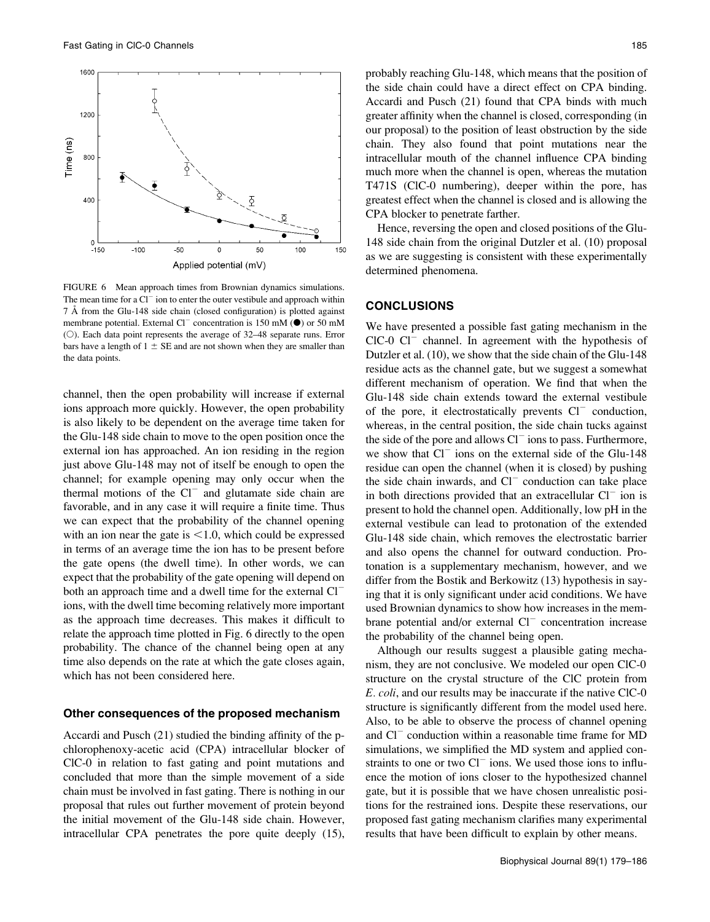

FIGURE 6 Mean approach times from Brownian dynamics simulations. The mean time for a  $Cl^-$  ion to enter the outer vestibule and approach within 7 Å from the Glu-148 side chain (closed configuration) is plotted against membrane potential. External Cl<sup>-</sup> concentration is 150 mM ( $\bullet$ ) or 50 mM ( $\circ$ ). Each data point represents the average of 32–48 separate runs. Error bars have a length of  $1 \pm SE$  and are not shown when they are smaller than the data points.

channel, then the open probability will increase if external ions approach more quickly. However, the open probability is also likely to be dependent on the average time taken for the Glu-148 side chain to move to the open position once the external ion has approached. An ion residing in the region just above Glu-148 may not of itself be enough to open the channel; for example opening may only occur when the thermal motions of the  $Cl^-$  and glutamate side chain are favorable, and in any case it will require a finite time. Thus we can expect that the probability of the channel opening with an ion near the gate is  $< 1.0$ , which could be expressed in terms of an average time the ion has to be present before the gate opens (the dwell time). In other words, we can expect that the probability of the gate opening will depend on both an approach time and a dwell time for the external  $Cl^$ ions, with the dwell time becoming relatively more important as the approach time decreases. This makes it difficult to relate the approach time plotted in Fig. 6 directly to the open probability. The chance of the channel being open at any time also depends on the rate at which the gate closes again, which has not been considered here.

#### Other consequences of the proposed mechanism

Accardi and Pusch (21) studied the binding affinity of the pchlorophenoxy-acetic acid (CPA) intracellular blocker of ClC-0 in relation to fast gating and point mutations and concluded that more than the simple movement of a side chain must be involved in fast gating. There is nothing in our proposal that rules out further movement of protein beyond the initial movement of the Glu-148 side chain. However, intracellular CPA penetrates the pore quite deeply (15), probably reaching Glu-148, which means that the position of the side chain could have a direct effect on CPA binding. Accardi and Pusch (21) found that CPA binds with much greater affinity when the channel is closed, corresponding (in our proposal) to the position of least obstruction by the side chain. They also found that point mutations near the intracellular mouth of the channel influence CPA binding much more when the channel is open, whereas the mutation T471S (ClC-0 numbering), deeper within the pore, has greatest effect when the channel is closed and is allowing the CPA blocker to penetrate farther.

Hence, reversing the open and closed positions of the Glu-148 side chain from the original Dutzler et al. (10) proposal as we are suggesting is consistent with these experimentally determined phenomena.

#### CONCLUSIONS

We have presented a possible fast gating mechanism in the  $ClC-0 Cl<sup>-</sup>$  channel. In agreement with the hypothesis of Dutzler et al. (10), we show that the side chain of the Glu-148 residue acts as the channel gate, but we suggest a somewhat different mechanism of operation. We find that when the Glu-148 side chain extends toward the external vestibule of the pore, it electrostatically prevents  $Cl^-$  conduction, whereas, in the central position, the side chain tucks against the side of the pore and allows  $Cl^-$  ions to pass. Furthermore, we show that  $Cl^-$  ions on the external side of the Glu-148 residue can open the channel (when it is closed) by pushing the side chain inwards, and  $Cl^-$  conduction can take place in both directions provided that an extracellular  $Cl^-$  ion is present to hold the channel open. Additionally, low pH in the external vestibule can lead to protonation of the extended Glu-148 side chain, which removes the electrostatic barrier and also opens the channel for outward conduction. Protonation is a supplementary mechanism, however, and we differ from the Bostik and Berkowitz (13) hypothesis in saying that it is only significant under acid conditions. We have used Brownian dynamics to show how increases in the membrane potential and/or external  $Cl^-$  concentration increase the probability of the channel being open.

Although our results suggest a plausible gating mechanism, they are not conclusive. We modeled our open ClC-0 structure on the crystal structure of the ClC protein from E. coli, and our results may be inaccurate if the native ClC-0 structure is significantly different from the model used here. Also, to be able to observe the process of channel opening and  $Cl^-$  conduction within a reasonable time frame for MD simulations, we simplified the MD system and applied constraints to one or two  $Cl^-$  ions. We used those ions to influence the motion of ions closer to the hypothesized channel gate, but it is possible that we have chosen unrealistic positions for the restrained ions. Despite these reservations, our proposed fast gating mechanism clarifies many experimental results that have been difficult to explain by other means.